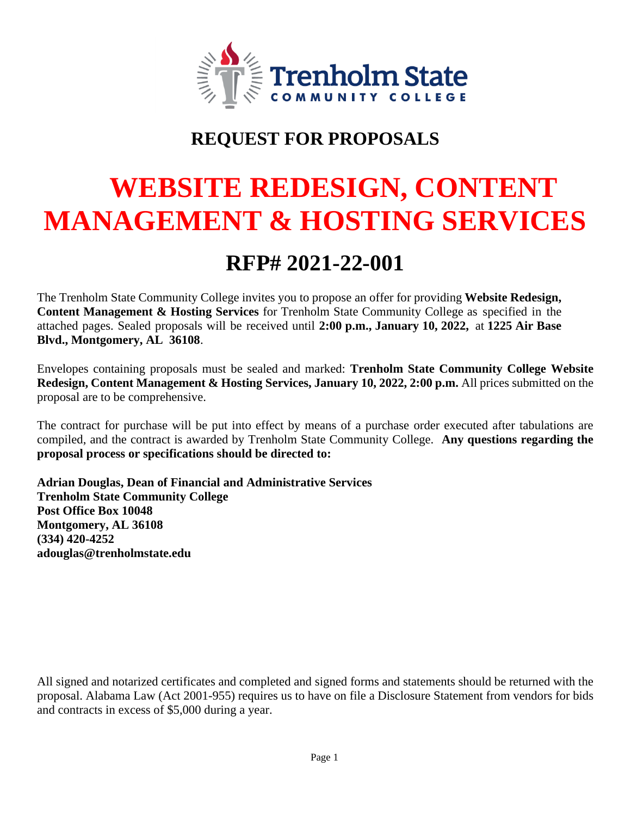

# **REQUEST FOR PROPOSALS**

# **WEBSITE REDESIGN, CONTENT MANAGEMENT & HOSTING SERVICES**

# **RFP# 2021-22-001**

The Trenholm State Community College invites you to propose an offer for providing **Website Redesign, Content Management & Hosting Services** for Trenholm State Community College as specified in the attached pages. Sealed proposals will be received until **2:00 p.m., January 10, 2022,** at **1225 Air Base Blvd., Montgomery, AL 36108**.

Envelopes containing proposals must be sealed and marked: **Trenholm State Community College Website Redesign, Content Management & Hosting Services, January 10, 2022, 2:00 p.m.** All prices submitted on the proposal are to be comprehensive.

The contract for purchase will be put into effect by means of a purchase order executed after tabulations are compiled, and the contract is awarded by Trenholm State Community College. **Any questions regarding the proposal process or specifications should be directed to:** 

**Adrian Douglas, Dean of Financial and Administrative Services Trenholm State Community College Post Office Box 10048 Montgomery, AL 36108 (334) 420-4252 adouglas@trenholmstate.edu** 

All signed and notarized certificates and completed and signed forms and statements should be returned with the proposal. Alabama Law (Act 2001-955) requires us to have on file a Disclosure Statement from vendors for bids and contracts in excess of \$5,000 during a year.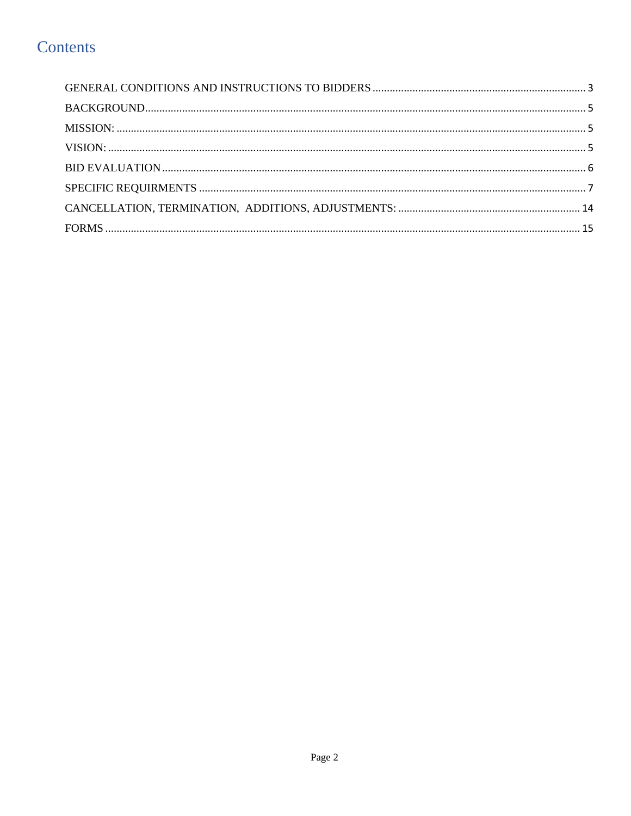## Contents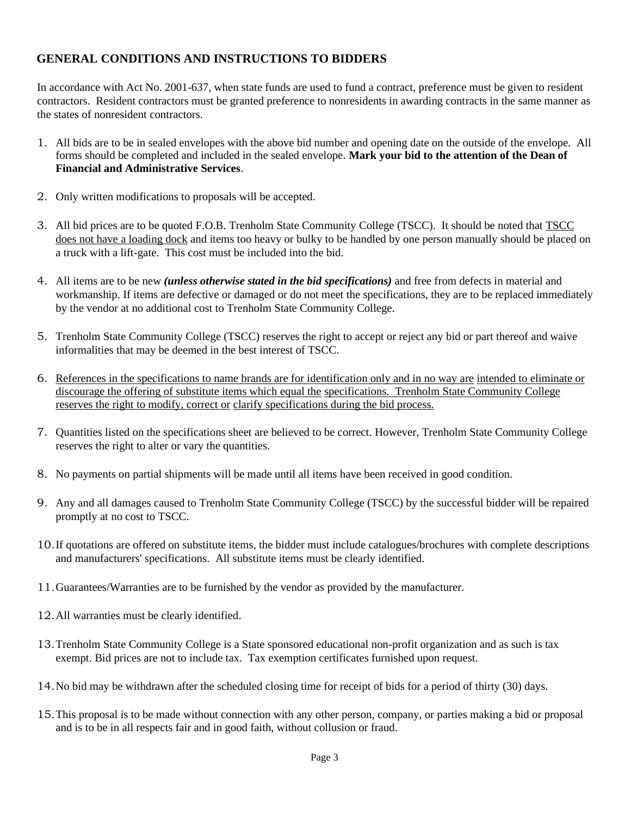#### <span id="page-2-0"></span>**GENERAL CONDITIONS AND INSTRUCTIONS TO BIDDERS**

In accordance with Act No. 2001-637, when state funds are used to fund a contract, preference must be given to resident contractors. Resident contractors must be granted preference to nonresidents in awarding contracts in the same manner as the states of nonresident contractors.

- 1. All bids are to be in sealed envelopes with the above bid number and opening date on the outside of the envelope. All forms should be completed and included in the sealed envelope. **Mark your bid to the attention of the Dean of Financial and Administrative Services**.
- 2. Only written modifications to proposals will be accepted.
- 3. All bid prices are to be quoted F.O.B. Trenholm State Community College (TSCC). It should be noted that TSCC does not have a loading dock and items too heavy or bulky to be handled by one person manually should be placed on a truck with a lift-gate. This cost must be included into the bid.
- 4. All items are to be new *(unless otherwise stated in the bid specifications)* and free from defects in material and workmanship. If items are defective or damaged or do not meet the specifications, they are to be replaced immediately by the vendor at no additional cost to Trenholm State Community College.
- 5. Trenholm State Community College (TSCC) reserves the right to accept or reject any bid or part thereof and waive informalities that may be deemed in the best interest of TSCC.
- 6. References in the specifications to name brands are for identification only and in no way are intended to eliminate or discourage the offering of substitute items which equal the specifications. Trenholm State Community College reserves the right to modify, correct or clarify specifications during the bid process.
- 7. Quantities listed on the specifications sheet are believed to be correct. However, Trenholm State Community College reserves the right to alter or vary the quantities.
- 8. No payments on partial shipments will be made until all items have been received in good condition.
- 9. Any and all damages caused to Trenholm State Community College (TSCC) by the successful bidder will be repaired promptly at no cost to TSCC.
- 10.If quotations are offered on substitute items, the bidder must include catalogues/brochures with complete descriptions and manufacturers' specifications. All substitute items must be clearly identified.
- 11.Guarantees/Warranties are to be furnished by the vendor as provided by the manufacturer.
- 12.All warranties must be clearly identified.
- 13.Trenholm State Community College is a State sponsored educational non-profit organization and as such is tax exempt. Bid prices are not to include tax. Tax exemption certificates furnished upon request.
- 14.No bid may be withdrawn after the scheduled closing time for receipt of bids for a period of thirty (30) days.
- 15.This proposal is to be made without connection with any other person, company, or parties making a bid or proposal and is to be in all respects fair and in good faith, without collusion or fraud.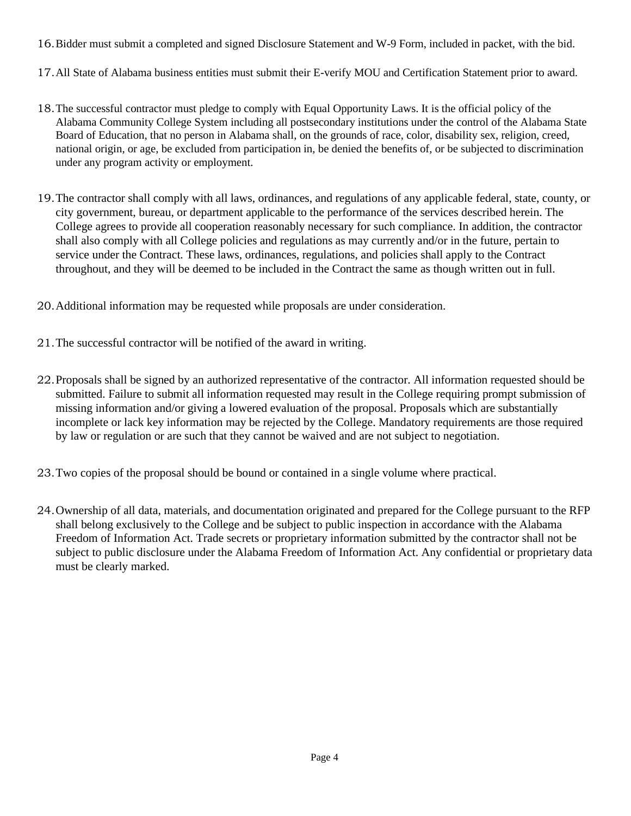- 16.Bidder must submit a completed and signed Disclosure Statement and W-9 Form, included in packet, with the bid.
- 17.All State of Alabama business entities must submit their E-verify MOU and Certification Statement prior to award.
- 18.The successful contractor must pledge to comply with Equal Opportunity Laws. It is the official policy of the Alabama Community College System including all postsecondary institutions under the control of the Alabama State Board of Education, that no person in Alabama shall, on the grounds of race, color, disability sex, religion, creed, national origin, or age, be excluded from participation in, be denied the benefits of, or be subjected to discrimination under any program activity or employment.
- 19.The contractor shall comply with all laws, ordinances, and regulations of any applicable federal, state, county, or city government, bureau, or department applicable to the performance of the services described herein. The College agrees to provide all cooperation reasonably necessary for such compliance. In addition, the contractor shall also comply with all College policies and regulations as may currently and/or in the future, pertain to service under the Contract. These laws, ordinances, regulations, and policies shall apply to the Contract throughout, and they will be deemed to be included in the Contract the same as though written out in full.
- 20.Additional information may be requested while proposals are under consideration.
- 21.The successful contractor will be notified of the award in writing.
- 22.Proposals shall be signed by an authorized representative of the contractor. All information requested should be submitted. Failure to submit all information requested may result in the College requiring prompt submission of missing information and/or giving a lowered evaluation of the proposal. Proposals which are substantially incomplete or lack key information may be rejected by the College. Mandatory requirements are those required by law or regulation or are such that they cannot be waived and are not subject to negotiation.
- 23.Two copies of the proposal should be bound or contained in a single volume where practical.
- 24.Ownership of all data, materials, and documentation originated and prepared for the College pursuant to the RFP shall belong exclusively to the College and be subject to public inspection in accordance with the Alabama Freedom of Information Act. Trade secrets or proprietary information submitted by the contractor shall not be subject to public disclosure under the Alabama Freedom of Information Act. Any confidential or proprietary data must be clearly marked.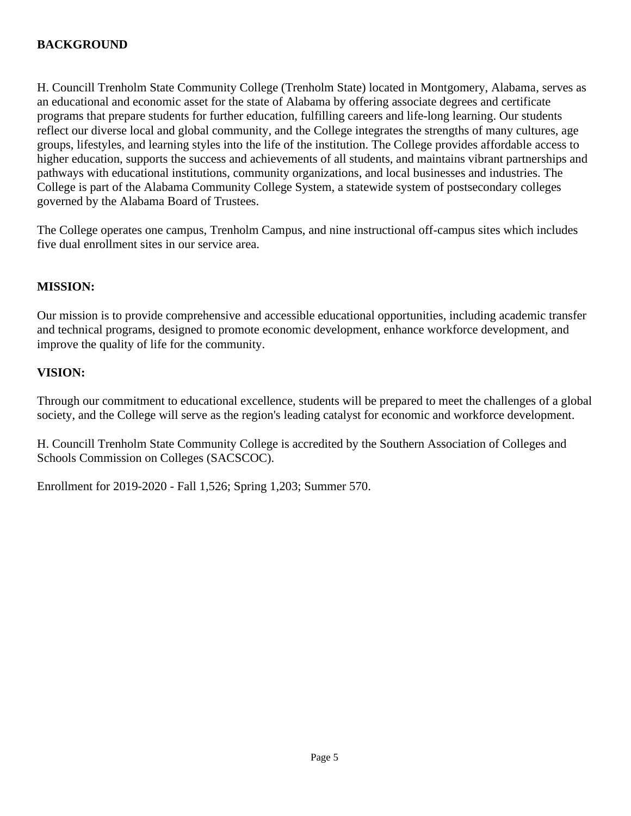#### <span id="page-4-0"></span>**BACKGROUND**

H. Councill Trenholm State Community College (Trenholm State) located in Montgomery, Alabama, serves as an educational and economic asset for the state of Alabama by offering associate degrees and certificate programs that prepare students for further education, fulfilling careers and life-long learning. Our students reflect our diverse local and global community, and the College integrates the strengths of many cultures, age groups, lifestyles, and learning styles into the life of the institution. The College provides affordable access to higher education, supports the success and achievements of all students, and maintains vibrant partnerships and pathways with educational institutions, community organizations, and local businesses and industries. The College is part of the Alabama Community College System, a statewide system of postsecondary colleges governed by the Alabama Board of Trustees.

The College operates one campus, Trenholm Campus, and nine instructional off-campus sites which includes five dual enrollment sites in our service area.

#### <span id="page-4-1"></span>**MISSION:**

Our mission is to provide comprehensive and accessible educational opportunities, including academic transfer and technical programs, designed to promote economic development, enhance workforce development, and improve the quality of life for the community.

#### <span id="page-4-2"></span>**VISION:**

Through our commitment to educational excellence, students will be prepared to meet the challenges of a global society, and the College will serve as the region's leading catalyst for economic and workforce development.

H. Councill Trenholm State Community College is accredited by the Southern Association of Colleges and Schools Commission on Colleges (SACSCOC).

Enrollment for 2019-2020 - Fall 1,526; Spring 1,203; Summer 570.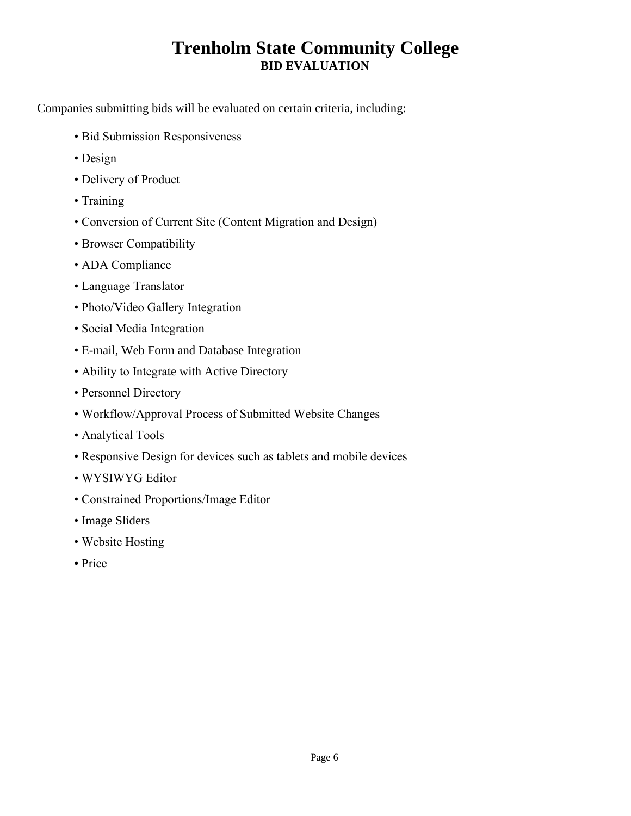### **Trenholm State Community College BID EVALUATION**

<span id="page-5-0"></span>Companies submitting bids will be evaluated on certain criteria, including:

- Bid Submission Responsiveness
- Design
- Delivery of Product
- Training
- Conversion of Current Site (Content Migration and Design)
- Browser Compatibility
- ADA Compliance
- Language Translator
- Photo/Video Gallery Integration
- Social Media Integration
- E-mail, Web Form and Database Integration
- Ability to Integrate with Active Directory
- Personnel Directory
- Workflow/Approval Process of Submitted Website Changes
- Analytical Tools
- Responsive Design for devices such as tablets and mobile devices
- WYSIWYG Editor
- Constrained Proportions/Image Editor
- Image Sliders
- Website Hosting
- Price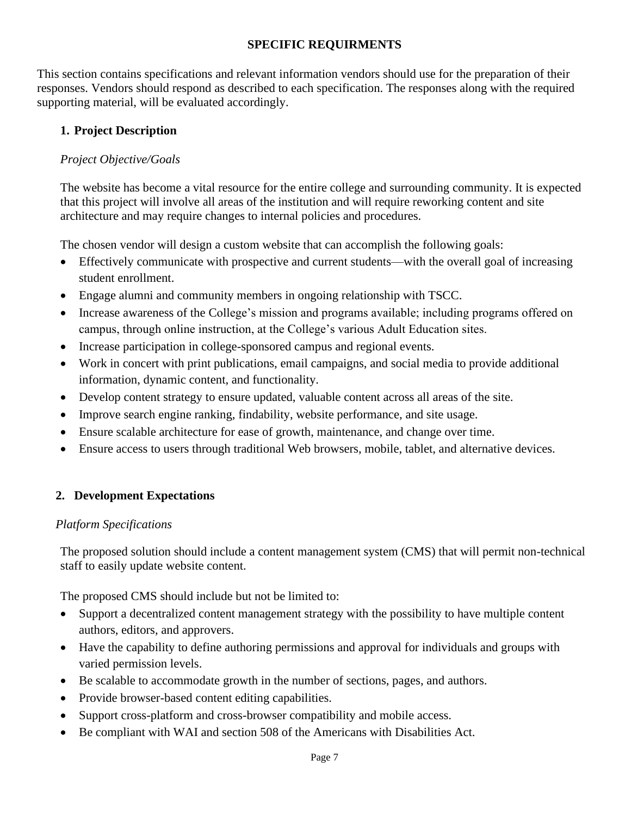#### **SPECIFIC REQUIRMENTS**

<span id="page-6-0"></span>This section contains specifications and relevant information vendors should use for the preparation of their responses. Vendors should respond as described to each specification. The responses along with the required supporting material, will be evaluated accordingly.

#### **1. Project Description**

#### *Project Objective/Goals*

The website has become a vital resource for the entire college and surrounding community. It is expected that this project will involve all areas of the institution and will require reworking content and site architecture and may require changes to internal policies and procedures.

The chosen vendor will design a custom website that can accomplish the following goals:

- Effectively communicate with prospective and current students—with the overall goal of increasing student enrollment.
- Engage alumni and community members in ongoing relationship with TSCC.
- Increase awareness of the College's mission and programs available; including programs offered on campus, through online instruction, at the College's various Adult Education sites.
- Increase participation in college-sponsored campus and regional events.
- Work in concert with print publications, email campaigns, and social media to provide additional information, dynamic content, and functionality.
- Develop content strategy to ensure updated, valuable content across all areas of the site.
- Improve search engine ranking, findability, website performance, and site usage.
- Ensure scalable architecture for ease of growth, maintenance, and change over time.
- Ensure access to users through traditional Web browsers, mobile, tablet, and alternative devices.

#### **2. Development Expectations**

#### *Platform Specifications*

The proposed solution should include a content management system (CMS) that will permit non-technical staff to easily update website content.

The proposed CMS should include but not be limited to:

- Support a decentralized content management strategy with the possibility to have multiple content authors, editors, and approvers.
- Have the capability to define authoring permissions and approval for individuals and groups with varied permission levels.
- Be scalable to accommodate growth in the number of sections, pages, and authors.
- Provide browser-based content editing capabilities.
- Support cross-platform and cross-browser compatibility and mobile access.
- Be compliant with WAI and section 508 of the Americans with Disabilities Act.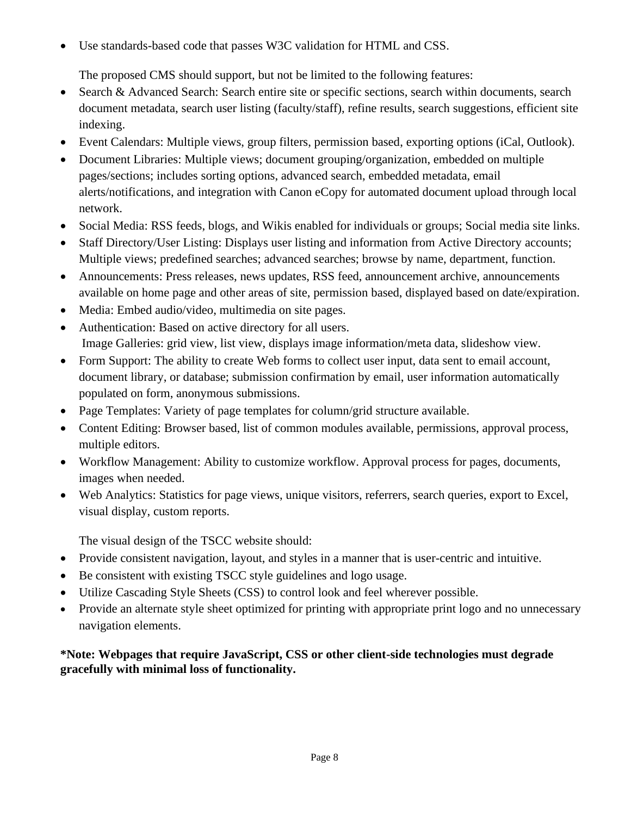• Use standards-based code that passes W3C validation for HTML and CSS.

The proposed CMS should support, but not be limited to the following features:

- Search & Advanced Search: Search entire site or specific sections, search within documents, search document metadata, search user listing (faculty/staff), refine results, search suggestions, efficient site indexing.
- Event Calendars: Multiple views, group filters, permission based, exporting options (iCal, Outlook).
- Document Libraries: Multiple views; document grouping/organization, embedded on multiple pages/sections; includes sorting options, advanced search, embedded metadata, email alerts/notifications, and integration with Canon eCopy for automated document upload through local network.
- Social Media: RSS feeds, blogs, and Wikis enabled for individuals or groups; Social media site links.
- Staff Directory/User Listing: Displays user listing and information from Active Directory accounts; Multiple views; predefined searches; advanced searches; browse by name, department, function.
- Announcements: Press releases, news updates, RSS feed, announcement archive, announcements available on home page and other areas of site, permission based, displayed based on date/expiration.
- Media: Embed audio/video, multimedia on site pages.
- Authentication: Based on active directory for all users. Image Galleries: grid view, list view, displays image information/meta data, slideshow view.
- Form Support: The ability to create Web forms to collect user input, data sent to email account, document library, or database; submission confirmation by email, user information automatically populated on form, anonymous submissions.
- Page Templates: Variety of page templates for column/grid structure available.
- Content Editing: Browser based, list of common modules available, permissions, approval process, multiple editors.
- Workflow Management: Ability to customize workflow. Approval process for pages, documents, images when needed.
- Web Analytics: Statistics for page views, unique visitors, referrers, search queries, export to Excel, visual display, custom reports.

The visual design of the TSCC website should:

- Provide consistent navigation, layout, and styles in a manner that is user-centric and intuitive.
- Be consistent with existing TSCC style guidelines and logo usage.
- Utilize Cascading Style Sheets (CSS) to control look and feel wherever possible.
- Provide an alternate style sheet optimized for printing with appropriate print logo and no unnecessary navigation elements.

**\*Note: Webpages that require JavaScript, CSS or other client-side technologies must degrade gracefully with minimal loss of functionality.**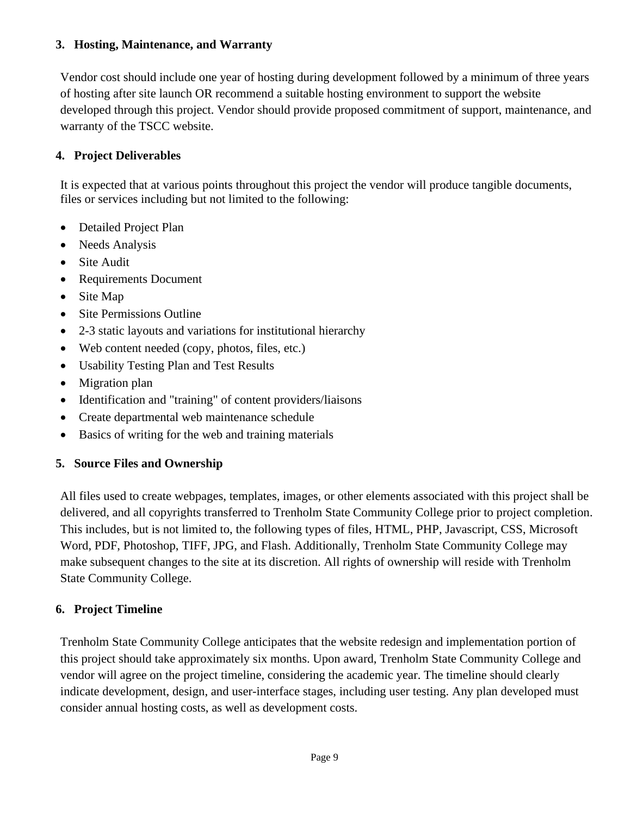#### **3. Hosting, Maintenance, and Warranty**

Vendor cost should include one year of hosting during development followed by a minimum of three years of hosting after site launch OR recommend a suitable hosting environment to support the website developed through this project. Vendor should provide proposed commitment of support, maintenance, and warranty of the TSCC website.

#### **4. Project Deliverables**

It is expected that at various points throughout this project the vendor will produce tangible documents, files or services including but not limited to the following:

- Detailed Project Plan
- Needs Analysis
- Site Audit
- Requirements Document
- Site Map
- Site Permissions Outline
- 2-3 static layouts and variations for institutional hierarchy
- Web content needed (copy, photos, files, etc.)
- Usability Testing Plan and Test Results
- Migration plan
- Identification and "training" of content providers/liaisons
- Create departmental web maintenance schedule
- Basics of writing for the web and training materials

#### **5. Source Files and Ownership**

All files used to create webpages, templates, images, or other elements associated with this project shall be delivered, and all copyrights transferred to Trenholm State Community College prior to project completion. This includes, but is not limited to, the following types of files, HTML, PHP, Javascript, CSS, Microsoft Word, PDF, Photoshop, TIFF, JPG, and Flash. Additionally, Trenholm State Community College may make subsequent changes to the site at its discretion. All rights of ownership will reside with Trenholm State Community College.

#### **6. Project Timeline**

Trenholm State Community College anticipates that the website redesign and implementation portion of this project should take approximately six months. Upon award, Trenholm State Community College and vendor will agree on the project timeline, considering the academic year. The timeline should clearly indicate development, design, and user-interface stages, including user testing. Any plan developed must consider annual hosting costs, as well as development costs.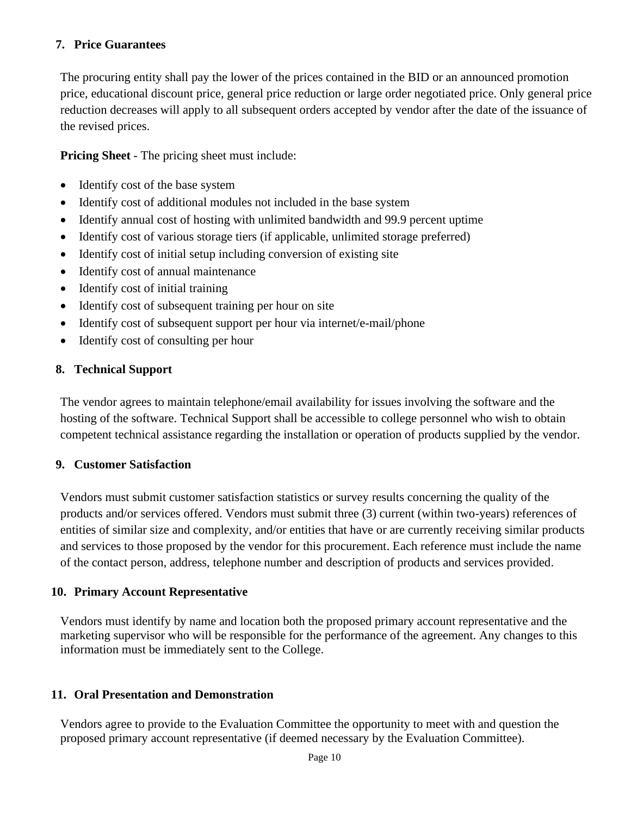#### **7. Price Guarantees**

The procuring entity shall pay the lower of the prices contained in the BID or an announced promotion price, educational discount price, general price reduction or large order negotiated price. Only general price reduction decreases will apply to all subsequent orders accepted by vendor after the date of the issuance of the revised prices.

**Pricing Sheet** - The pricing sheet must include:

- Identify cost of the base system
- Identify cost of additional modules not included in the base system
- Identify annual cost of hosting with unlimited bandwidth and 99.9 percent uptime
- Identify cost of various storage tiers (if applicable, unlimited storage preferred)
- Identify cost of initial setup including conversion of existing site
- Identify cost of annual maintenance
- Identify cost of initial training
- Identify cost of subsequent training per hour on site
- Identify cost of subsequent support per hour via internet/e-mail/phone
- Identify cost of consulting per hour

#### **8. Technical Support**

The vendor agrees to maintain telephone/email availability for issues involving the software and the hosting of the software. Technical Support shall be accessible to college personnel who wish to obtain competent technical assistance regarding the installation or operation of products supplied by the vendor.

#### **9. Customer Satisfaction**

Vendors must submit customer satisfaction statistics or survey results concerning the quality of the products and/or services offered. Vendors must submit three (3) current (within two-years) references of entities of similar size and complexity, and/or entities that have or are currently receiving similar products and services to those proposed by the vendor for this procurement. Each reference must include the name of the contact person, address, telephone number and description of products and services provided.

#### **10. Primary Account Representative**

Vendors must identify by name and location both the proposed primary account representative and the marketing supervisor who will be responsible for the performance of the agreement. Any changes to this information must be immediately sent to the College.

#### **11. Oral Presentation and Demonstration**

Vendors agree to provide to the Evaluation Committee the opportunity to meet with and question the proposed primary account representative (if deemed necessary by the Evaluation Committee).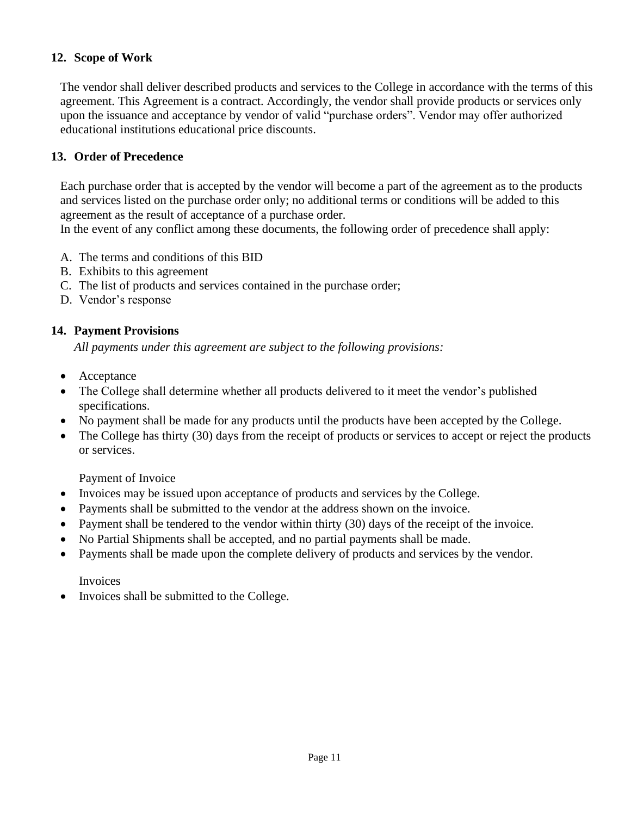#### **12. Scope of Work**

The vendor shall deliver described products and services to the College in accordance with the terms of this agreement. This Agreement is a contract. Accordingly, the vendor shall provide products or services only upon the issuance and acceptance by vendor of valid "purchase orders". Vendor may offer authorized educational institutions educational price discounts.

#### **13. Order of Precedence**

Each purchase order that is accepted by the vendor will become a part of the agreement as to the products and services listed on the purchase order only; no additional terms or conditions will be added to this agreement as the result of acceptance of a purchase order.

In the event of any conflict among these documents, the following order of precedence shall apply:

- A. The terms and conditions of this BID
- B. Exhibits to this agreement
- C. The list of products and services contained in the purchase order;
- D. Vendor's response

#### **14. Payment Provisions**

*All payments under this agreement are subject to the following provisions:* 

- Acceptance
- The College shall determine whether all products delivered to it meet the vendor's published specifications.
- No payment shall be made for any products until the products have been accepted by the College.
- The College has thirty (30) days from the receipt of products or services to accept or reject the products or services.

#### Payment of Invoice

- Invoices may be issued upon acceptance of products and services by the College.
- Payments shall be submitted to the vendor at the address shown on the invoice.
- Payment shall be tendered to the vendor within thirty (30) days of the receipt of the invoice.
- No Partial Shipments shall be accepted, and no partial payments shall be made.
- Payments shall be made upon the complete delivery of products and services by the vendor.

Invoices

• Invoices shall be submitted to the College.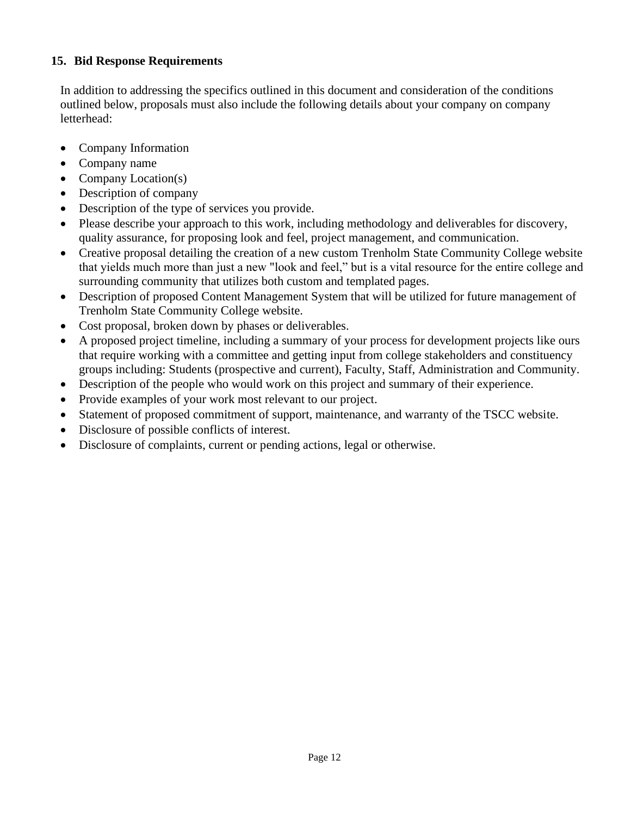#### **15. Bid Response Requirements**

In addition to addressing the specifics outlined in this document and consideration of the conditions outlined below, proposals must also include the following details about your company on company letterhead:

- Company Information
- Company name
- Company Location(s)
- Description of company
- Description of the type of services you provide.
- Please describe your approach to this work, including methodology and deliverables for discovery, quality assurance, for proposing look and feel, project management, and communication.
- Creative proposal detailing the creation of a new custom Trenholm State Community College website that yields much more than just a new "look and feel," but is a vital resource for the entire college and surrounding community that utilizes both custom and templated pages.
- Description of proposed Content Management System that will be utilized for future management of Trenholm State Community College website.
- Cost proposal, broken down by phases or deliverables.
- A proposed project timeline, including a summary of your process for development projects like ours that require working with a committee and getting input from college stakeholders and constituency groups including: Students (prospective and current), Faculty, Staff, Administration and Community.
- Description of the people who would work on this project and summary of their experience.
- Provide examples of your work most relevant to our project.
- Statement of proposed commitment of support, maintenance, and warranty of the TSCC website.
- Disclosure of possible conflicts of interest.
- Disclosure of complaints, current or pending actions, legal or otherwise.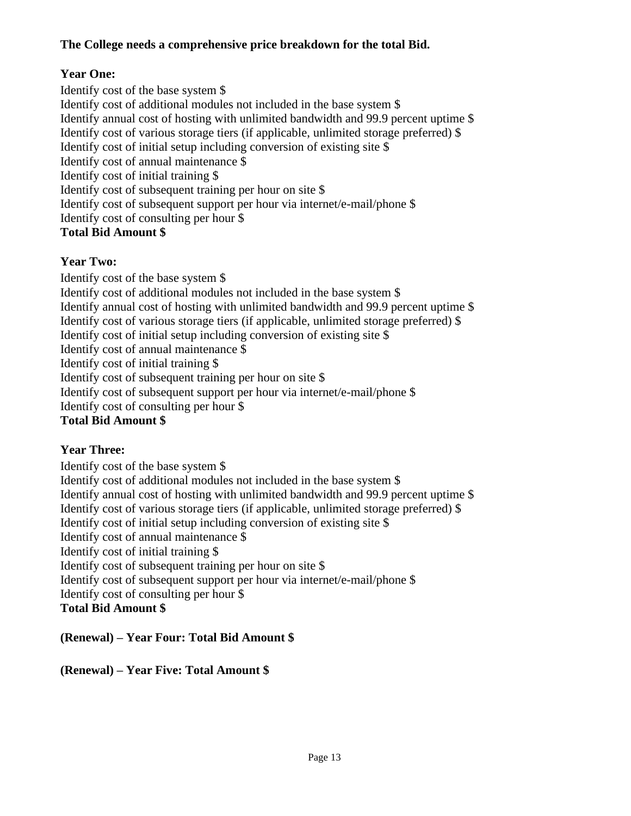#### **The College needs a comprehensive price breakdown for the total Bid.**

#### **Year One:**

Identify cost of the base system \$ Identify cost of additional modules not included in the base system \$ Identify annual cost of hosting with unlimited bandwidth and 99.9 percent uptime \$ Identify cost of various storage tiers (if applicable, unlimited storage preferred) \$ Identify cost of initial setup including conversion of existing site \$ Identify cost of annual maintenance \$ Identify cost of initial training \$ Identify cost of subsequent training per hour on site \$ Identify cost of subsequent support per hour via internet/e-mail/phone \$ Identify cost of consulting per hour \$ **Total Bid Amount \$** 

#### **Year Two:**

Identify cost of the base system \$ Identify cost of additional modules not included in the base system \$ Identify annual cost of hosting with unlimited bandwidth and 99.9 percent uptime \$ Identify cost of various storage tiers (if applicable, unlimited storage preferred) \$ Identify cost of initial setup including conversion of existing site \$ Identify cost of annual maintenance \$ Identify cost of initial training \$ Identify cost of subsequent training per hour on site \$ Identify cost of subsequent support per hour via internet/e-mail/phone \$ Identify cost of consulting per hour \$

#### **Total Bid Amount \$**

#### **Year Three:**

Identify cost of the base system \$ Identify cost of additional modules not included in the base system \$ Identify annual cost of hosting with unlimited bandwidth and 99.9 percent uptime \$ Identify cost of various storage tiers (if applicable, unlimited storage preferred) \$ Identify cost of initial setup including conversion of existing site \$ Identify cost of annual maintenance \$ Identify cost of initial training \$ Identify cost of subsequent training per hour on site \$ Identify cost of subsequent support per hour via internet/e-mail/phone \$ Identify cost of consulting per hour \$ **Total Bid Amount \$** 

**(Renewal) – Year Four: Total Bid Amount \$** 

**(Renewal) – Year Five: Total Amount \$**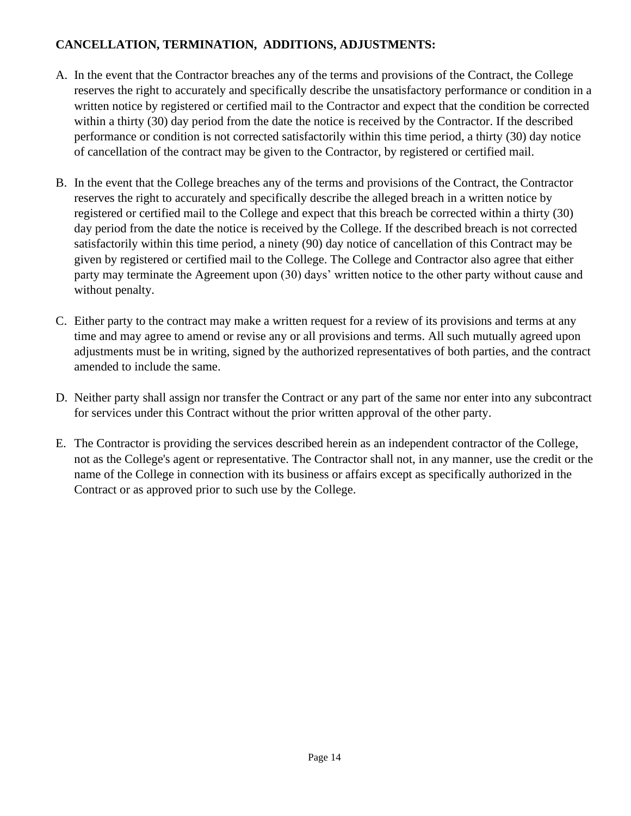#### <span id="page-13-0"></span>**CANCELLATION, TERMINATION, ADDITIONS, ADJUSTMENTS:**

- A. In the event that the Contractor breaches any of the terms and provisions of the Contract, the College reserves the right to accurately and specifically describe the unsatisfactory performance or condition in a written notice by registered or certified mail to the Contractor and expect that the condition be corrected within a thirty (30) day period from the date the notice is received by the Contractor. If the described performance or condition is not corrected satisfactorily within this time period, a thirty (30) day notice of cancellation of the contract may be given to the Contractor, by registered or certified mail.
- B. In the event that the College breaches any of the terms and provisions of the Contract, the Contractor reserves the right to accurately and specifically describe the alleged breach in a written notice by registered or certified mail to the College and expect that this breach be corrected within a thirty (30) day period from the date the notice is received by the College. If the described breach is not corrected satisfactorily within this time period, a ninety (90) day notice of cancellation of this Contract may be given by registered or certified mail to the College. The College and Contractor also agree that either party may terminate the Agreement upon (30) days' written notice to the other party without cause and without penalty.
- C. Either party to the contract may make a written request for a review of its provisions and terms at any time and may agree to amend or revise any or all provisions and terms. All such mutually agreed upon adjustments must be in writing, signed by the authorized representatives of both parties, and the contract amended to include the same.
- D. Neither party shall assign nor transfer the Contract or any part of the same nor enter into any subcontract for services under this Contract without the prior written approval of the other party.
- E. The Contractor is providing the services described herein as an independent contractor of the College, not as the College's agent or representative. The Contractor shall not, in any manner, use the credit or the name of the College in connection with its business or affairs except as specifically authorized in the Contract or as approved prior to such use by the College.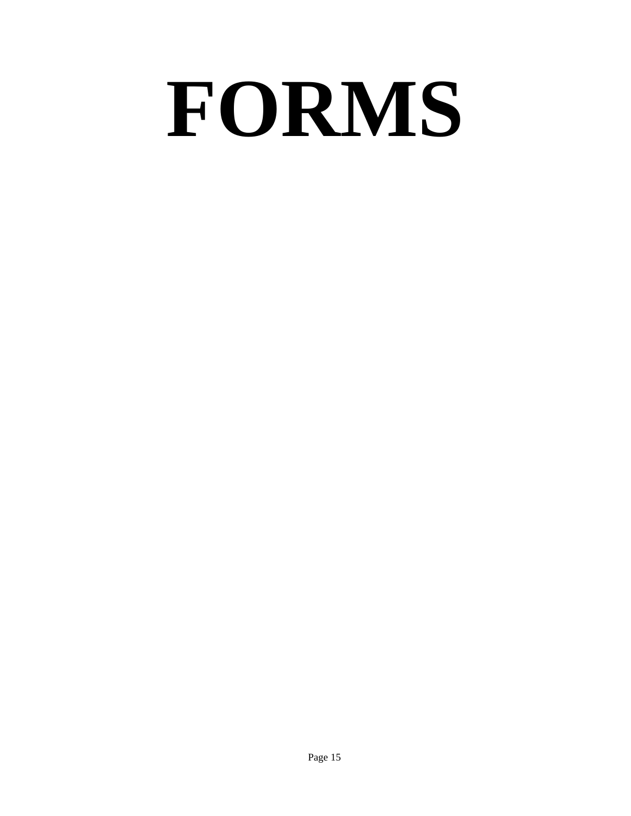# <span id="page-14-0"></span>**FORMS**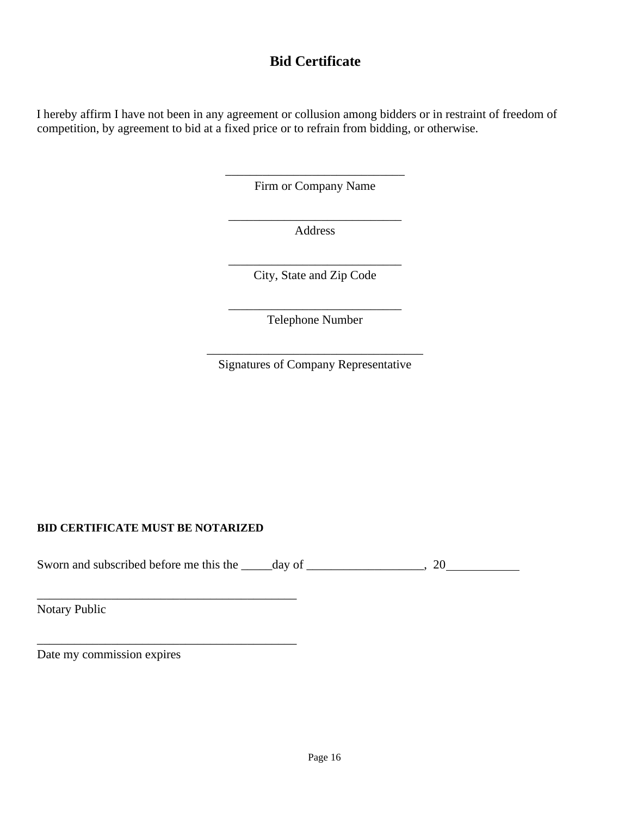#### **Bid Certificate**

I hereby affirm I have not been in any agreement or collusion among bidders or in restraint of freedom of competition, by agreement to bid at a fixed price or to refrain from bidding, or otherwise.

> \_\_\_\_\_\_\_\_\_\_\_\_\_\_\_\_\_\_\_\_\_\_\_\_\_\_\_\_\_ Firm or Company Name

\_\_\_\_\_\_\_\_\_\_\_\_\_\_\_\_\_\_\_\_\_\_\_\_\_\_\_\_ Address

\_\_\_\_\_\_\_\_\_\_\_\_\_\_\_\_\_\_\_\_\_\_\_\_\_\_\_\_ City, State and Zip Code

\_\_\_\_\_\_\_\_\_\_\_\_\_\_\_\_\_\_\_\_\_\_\_\_\_\_\_\_ Telephone Number

\_\_\_\_\_\_\_\_\_\_\_\_\_\_\_\_\_\_\_\_\_\_\_\_\_\_\_\_\_\_\_\_\_\_\_ Signatures of Company Representative

#### **BID CERTIFICATE MUST BE NOTARIZED**

\_\_\_\_\_\_\_\_\_\_\_\_\_\_\_\_\_\_\_\_\_\_\_\_\_\_\_\_\_\_\_\_\_\_\_\_\_\_\_\_\_\_

\_\_\_\_\_\_\_\_\_\_\_\_\_\_\_\_\_\_\_\_\_\_\_\_\_\_\_\_\_\_\_\_\_\_\_\_\_\_\_\_\_\_

Sworn and subscribed before me this the \_\_\_\_\_day of \_\_\_\_\_\_\_\_\_\_\_\_\_\_\_\_\_\_\_, 20

Notary Public

Date my commission expires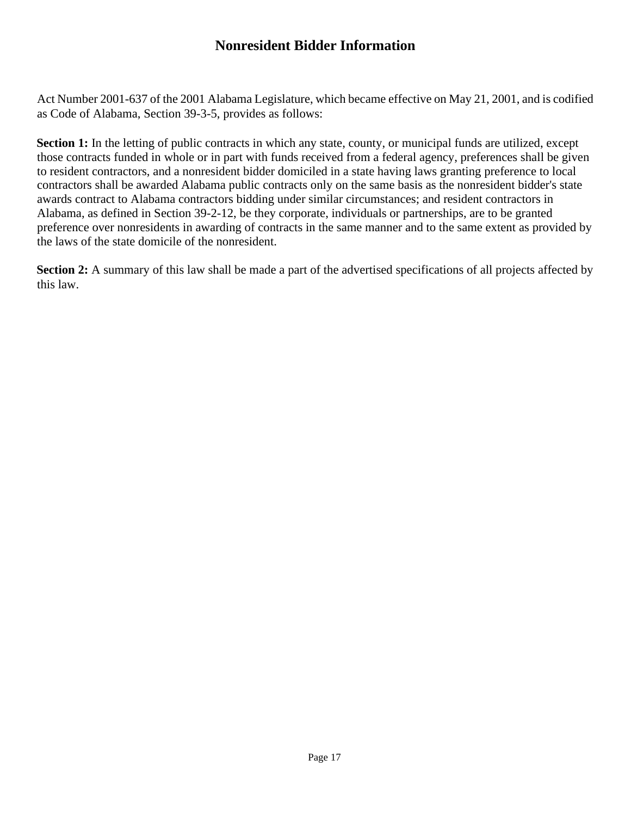#### **Nonresident Bidder Information**

Act Number 2001-637 of the 2001 Alabama Legislature, which became effective on May 21, 2001, and is codified as Code of Alabama, Section 39-3-5, provides as follows:

**Section 1:** In the letting of public contracts in which any state, county, or municipal funds are utilized, except those contracts funded in whole or in part with funds received from a federal agency, preferences shall be given to resident contractors, and a nonresident bidder domiciled in a state having laws granting preference to local contractors shall be awarded Alabama public contracts only on the same basis as the nonresident bidder's state awards contract to Alabama contractors bidding under similar circumstances; and resident contractors in Alabama, as defined in Section 39-2-12, be they corporate, individuals or partnerships, are to be granted preference over nonresidents in awarding of contracts in the same manner and to the same extent as provided by the laws of the state domicile of the nonresident.

**Section 2:** A summary of this law shall be made a part of the advertised specifications of all projects affected by this law.